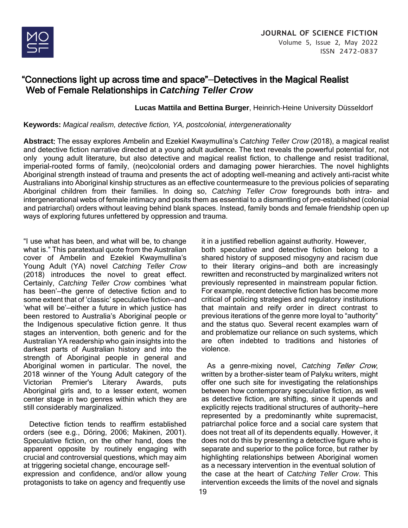

# "Connections light up across time and space"—Detectives in the Magical Realist Web of Female Relationships in *Catching Teller Crow*

**Lucas Mattila and Bettina Burger**, Heinrich-Heine University Düsseldorf

**Keywords:** *Magical realism, detective fiction, YA, postcolonial, intergenerationality*

**Abstract**: The essay explores Ambelin and Ezekiel Kwaymullina's *Catching Teller Crow* (2018), a magical realist and detective fiction narrative directed at a young adult audience. The text reveals the powerful potential for, not only young adult literature, but also detective and magical realist fiction, to challenge and resist traditional, imperial-rooted forms of family, (neo)colonial orders and damaging power hierarchies. The novel highlights Aboriginal strength instead of trauma and presents the act of adopting well-meaning and actively anti-racist white Australians into Aboriginal kinship structures as an effective countermeasure to the previous policies of separating Aboriginal children from their families. In doing so, *Catching Teller Crow* foregrounds both intra- and intergenerational webs of female intimacy and posits them as essential to a dismantling of pre-established (colonial and patriarchal) orders without leaving behind blank spaces. Instead, family bonds and female friendship open up ways of exploring futures unfettered by oppression and trauma.

"I use what has been, and what will be, to change what is." This paratextual quote from the Australian cover of Ambelin and Ezekiel Kwaymullina's Young Adult (YA) novel *Catching Teller Crow* (2018) introduces the novel to great effect. Certainly, *Catching Teller Crow* combines 'what has been'—the genre of detective fiction and to some extent that of 'classic' speculative fiction—and 'what will be'—either a future in which justice has been restored to Australia's Aboriginal people or the Indigenous speculative fiction genre. It thus stages an intervention, both generic and for the Australian YA readership who gain insights into the darkest parts of Australian history and into the strength of Aboriginal people in general and Aboriginal women in particular. The novel, the 2018 winner of the Young Adult category of the Victorian Premier's Literary Awards, puts Aboriginal girls and, to a lesser extent, women center stage in two genres within which they are still considerably marginalized.

 Detective fiction tends to reaffirm established orders (see e.g., Döring, 2006; Makinen, 2001). Speculative fiction, on the other hand, does the apparent opposite by routinely engaging with crucial and controversial questions, which may aim at triggering societal change, encourage selfexpression and confidence, and/or allow young protagonists to take on agency and frequently use

it in a justified rebellion against authority. However, both speculative and detective fiction belong to a shared history of supposed misogyny and racism due to their literary origins—and both are increasingly rewritten and reconstructed by marginalized writers not previously represented in mainstream popular fiction. For example, recent detective fiction has become more critical of policing strategies and regulatory institutions that maintain and reify order in direct contrast to previous iterations of the genre more loyal to "authority" and the status quo. Several recent examples warn of and problematize our reliance on such systems, which are often indebted to traditions and histories of violence.

 As a genre-mixing novel, *Catching* Teller Crow, written by a brother-sister team of Palyku writers, might offer one such site for investigating the relationships between how contemporary speculative fiction, as well as detective fiction, are shifting, since it upends and explicitly rejects traditional structures of authority—here represented by a predominantly white supremacist, patriarchal police force and a social care system that does not treat all of its dependents equally. However, it does not do this by presenting a detective figure who is separate and superior to the police force, but rather by highlighting relationships between Aboriginal women as a necessary intervention in the eventual solution of the case at the heart of *Catching Teller Crow*. This intervention exceeds the limits of the novel and signals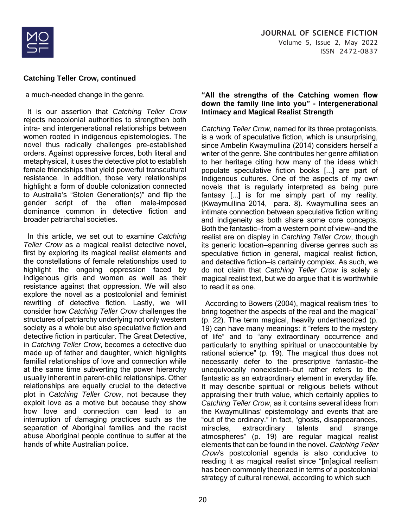

a much-needed change in the genre.

 It is our assertion that *Catching Teller Crow* rejects neocolonial authorities to strengthen both intra- and intergenerational relationships between women rooted in indigenous epistemologies. The novel thus radically challenges pre-established orders. Against oppressive forces, both literal and metaphysical, it uses the detective plot to establish female friendships that yield powerful transcultural resistance. In addition, those very relationships highlight a form of double colonization connected to Australia's "Stolen Generation(s)" and flip the gender script of the often male-imposed dominance common in detective fiction and broader patriarchal societies.

 In this article, we set out to examine *Catching Teller Crow* as a magical realist detective novel, first by exploring its magical realist elements and the constellations of female relationships used to highlight the ongoing oppression faced by indigenous girls and women as well as their resistance against that oppression. We will also explore the novel as a postcolonial and feminist rewriting of detective fiction. Lastly, we will consider how *Catching Teller Crow* challenges the structures of patriarchy underlying not only western society as a whole but also speculative fiction and detective fiction in particular. The Great Detective, in *Catching Teller Crow*, becomes a detective duo made up of father and daughter, which highlights familial relationships of love and connection while at the same time subverting the power hierarchy usually inherent in parent-child relationships. Other relationships are equally crucial to the detective plot in C*atching Teller Crow*, not because they exploit love as a motive but because they show how love and connection can lead to an interruption of damaging practices such as the separation of Aboriginal families and the racist abuse Aboriginal people continue to suffer at the hands of white Australian police.

#### **"All the strengths of the Catching women flow down the family line into you" - Intergenerational Intimacy and Magical Realist Strength**

*Catching Teller Crow*, named for its three protagonists, is a work of speculative fiction, which is unsurprising, since Ambelin Kwaymullina (2014) considers herself a writer of the genre. She contributes her genre affiliation to her heritage citing how many of the ideas which populate speculative fiction books [...] are part of Indigenous cultures. One of the aspects of my own novels that is regularly interpreted as being pure fantasy [...] is for me simply part of my reality. (Kwaymullina 2014, para. 8). Kwaymullina sees an intimate connection between speculative fiction writing and indigeneity as both share some core concepts. Both the fantastic—from a western point of view—and the realist are on display in *Catching Teller Crow*, though its generic location—spanning diverse genres such as speculative fiction in general, magical realist fiction, and detective fiction—is certainly complex. As such, we do not claim that *Catching Teller Crow* is solely a magical realist text, but we do argue that it is worthwhile to read it as one.

 According to Bowers (2004), magical realism tries "to bring together the aspects of the real and the magical" (p. 22). The term magical, heavily undertheorized (p. 19) can have many meanings: it "refers to the mystery of life" and to "any extraordinary occurrence and particularly to anything spiritual or unaccountable by rational science" (p. 19). The magical thus does not necessarily defer to the prescriptive fantastic—the unequivocally nonexistent—but rather refers to the fantastic as an extraordinary element in everyday life. It may describe spiritual or religious beliefs without appraising their truth value, which certainly applies to *Catching Teller Crow*, as it contains several ideas from the Kwaymullinas' epistemology and events that are "out of the ordinary." In fact, "ghosts, disappearances, miracles, extraordinary talents and strange atmospheres" (p. 19) are regular magical realist elements that can be found in the novel. Catching Teller Crow's postcolonial agenda is also conducive to reading it as magical realist since "[m]agical realism has been commonly theorized in terms of a postcolonial strategy of cultural renewal, according to which such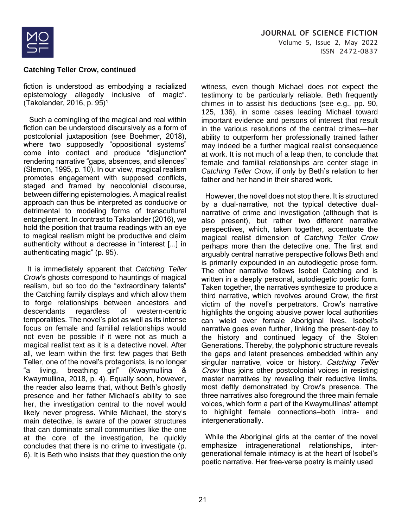

fiction is understood as embodying a racialized epistemology allegedly inclusive of magic". (Takolander, 2016, p. 95)<sup>1</sup>

 Such a comingling of the magical and real within fiction can be understood discursively as a form of postcolonial juxtaposition (see Boehmer, 2018), where two supposedly "oppositional systems" come into contact and produce "disjunction" rendering narrative "gaps, absences, and silences" (Slemon, 1995, p. 10). In our view, magical realism promotes engagement with supposed conflicts, staged and framed by neocolonial discourse, between differing epistemologies. A magical realist approach can thus be interpreted as conducive or detrimental to modeling forms of transcultural entanglement. In contrast to Takolander (2016), we hold the position that trauma readings with an eye to magical realism might be productive and claim authenticity without a decrease in "interest [...] in authenticating magic" (p. 95).

 It is immediately apparent that *Catching Teller Crow*'s ghosts correspond to hauntings of magical realism, but so too do the "extraordinary talents" the Catching family displays and which allow them to forge relationships between ancestors and descendants regardless of western-centric temporalities. The novel's plot as well as its intense focus on female and familial relationships would not even be possible if it were not as much a magical realist text as it is a detective novel. After all, we learn within the first few pages that Beth Teller, one of the novel's protagonists, is no longer "a living, breathing girl" (Kwaymullina & Kwaymullina, 2018, p. 4). Equally soon, however, the reader also learns that, without Beth's ghostly presence and her father Michael's ability to see her, the investigation central to the novel would likely never progress. While Michael, the story's main detective, is aware of the power structures that can dominate small communities like the one at the core of the investigation, he quickly concludes that there is no crime to investigate (p. 6). It is Beth who insists that they question the only witness, even though Michael does not expect the testimony to be particularly reliable. Beth frequently chimes in to assist his deductions (see e.g., pp. 90, 125, 136), in some cases leading Michael toward important evidence and persons of interest that result in the various resolutions of the central crimes—her ability to outperform her professionally trained father may indeed be a further magical realist consequence at work. It is not much of a leap then, to conclude that female and familial relationships are center stage in *Catching Teller Crow*, if only by Beth's relation to her father and her hand in their shared work.

 However, the novel does not stop there. It is structured by a dual-narrative, not the typical detective dualnarrative of crime and investigation (although that is also present), but rather two different narrative perspectives, which, taken together, accentuate the magical realist dimension of *Catching Teller Crow* perhaps more than the detective one. The first and arguably central narrative perspective follows Beth and is primarily expounded in an autodiegetic prose form. The other narrative follows Isobel Catching and is written in a deeply personal, autodiegetic poetic form. Taken together, the narratives synthesize to produce a third narrative, which revolves around Crow, the first victim of the novel's perpetrators. Crow's narrative highlights the ongoing abusive power local authorities can wield over female Aboriginal lives. Isobel's narrative goes even further, linking the present-day to the history and continued legacy of the Stolen Generations. Thereby, the polyphonic structure reveals the gaps and latent presences embedded within any singular narrative, voice or history. Catching Teller Crow thus joins other postcolonial voices in resisting master narratives by revealing their reductive limits, most deftly demonstrated by Crow's presence. The three narratives also foreground the three main female voices, which form a part of the Kwaymullinas' attempt to highlight female connections—both intra- and intergenerationally.

 While the Aboriginal girls at the center of the novel emphasize intragenerational relationships, intergenerational female intimacy is at the heart of Isobel's poetic narrative. Her free-verse poetry is mainly used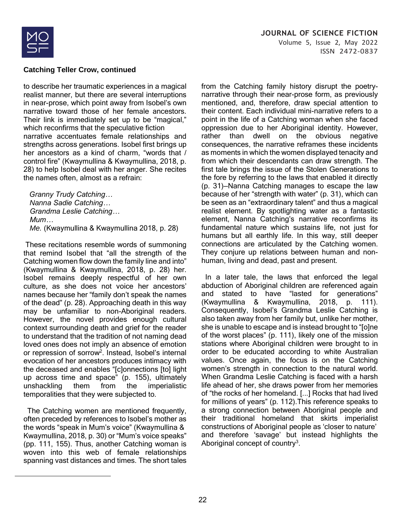

to describe her traumatic experiences in a magical realist manner, but there are several interruptions in near-prose, which point away from Isobel's own narrative toward those of her female ancestors. Their link is immediately set up to be "magical," which reconfirms that the speculative fiction narrative accentuates female relationships and strengths across generations. Isobel first brings up her ancestors as a kind of charm, "words that / control fire" (Kwaymullina & Kwaymullina, 2018, p. 28) to help Isobel deal with her anger. She recites the names often, almost as a refrain:

 *Granny Trudy Catching… Nanna Sadie Catching… Grandma Leslie Catching… Mum… Me.* (Kwaymullina & Kwaymullina 2018, p. 28)

These recitations resemble words of summoning that remind Isobel that "all the strength of the Catching women flow down the family line and into" (Kwaymullina & Kwaymullina, 2018, p. 28) her. Isobel remains deeply respectful of her own culture, as she does not voice her ancestors' names because her "family don't speak the names of the dead" (p. 28). Approaching death in this way may be unfamiliar to non-Aboriginal readers. However, the novel provides enough cultural context surrounding death and grief for the reader to understand that the tradition of not naming dead loved ones does not imply an absence of emotion or repression of sorrow<sup>2</sup>. Instead, Isobel's internal evocation of her ancestors produces intimacy with the deceased and enables "[c]onnections [to] light up across time and space" (p. 155), ultimately unshackling them from the imperialistic temporalities that they were subjected to.

 The Catching women are mentioned frequently, often preceded by references to Isobel's mother as the words "speak in Mum's voice" (Kwaymullina & Kwaymullina, 2018, p. 30) or "Mum's voice speaks" (pp. 111, 155). Thus, another Catching woman is woven into this web of female relationships spanning vast distances and times. The short tales from the Catching family history disrupt the poetrynarrative through their near-prose form, as previously mentioned, and, therefore, draw special attention to their content. Each individual mini-narrative refers to a point in the life of a Catching woman when she faced oppression due to her Aboriginal identity. However, rather than dwell on the obvious negative consequences, the narrative reframes these incidents as moments in which the women displayed tenacity and from which their descendants can draw strength. The first tale brings the issue of the Stolen Generations to the fore by referring to the laws that enabled it directly (p. 31)—Nanna Catching manages to escape the law because of her "strength with water" (p. 31), which can be seen as an "extraordinary talent" and thus a magical realist element. By spotlighting water as a fantastic element, Nanna Catching's narrative reconfirms its fundamental nature which sustains life, not just for humans but all earthly life. In this way, still deeper connections are articulated by the Catching women. They conjure up relations between human and nonhuman, living and dead, past and present.

 In a later tale, the laws that enforced the legal abduction of Aboriginal children are referenced again and stated to have "lasted for generations" (Kwaymullina & Kwaymullina, 2018, p. 111). Consequently, Isobel's Grandma Leslie Catching is also taken away from her family but, unlike her mother, she is unable to escape and is instead brought to "[o]ne of the worst places" (p. 111), likely one of the mission stations where Aboriginal children were brought to in order to be educated according to white Australian values. Once again, the focus is on the Catching women's strength in connection to the natural world. When Grandma Leslie Catching is faced with a harsh life ahead of her, she draws power from her memories of "the rocks of her homeland. [...] Rocks that had lived for millions of years" (p. 112).This reference speaks to a strong connection between Aboriginal people and their traditional homeland that skirts imperialist constructions of Aboriginal people as 'closer to nature' and therefore 'savage' but instead highlights the Aboriginal concept of country<sup>3</sup>.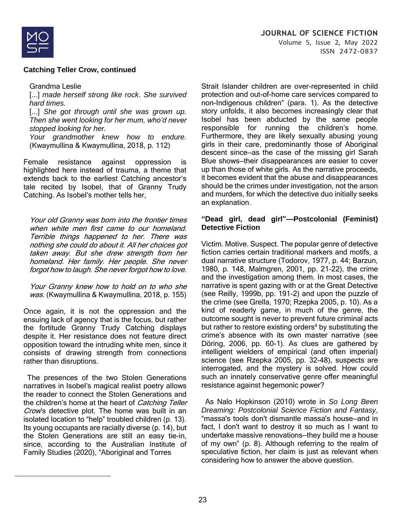

Grandma Leslie

[...] *made herself strong like rock*. *She survived hard times.*

[...] *She got through until she was grown up. Then she went looking for her mum, who'd never stopped looking for her.*

*Your grandmother knew how to endure.* (Kwaymullina & Kwaymullina, 2018, p. 112)

Female resistance against oppression is highlighted here instead of trauma, a theme that extends back to the earliest Catching ancestor's tale recited by Isobel, that of Granny Trudy Catching. As Isobel's mother tells her,

Your old Granny was born into the frontier times when white men first came to our homeland. Terrible things happened to her. There was nothing she could do about it. All her choices got taken away. But she drew strength from her homeland. Her family. Her people. She never forgot how to laugh. She never forgot how to love.

Your Granny knew how to hold on to who she was. (Kwaymullina & Kwaymullina, 2018, p. 155)

Once again, it is not the oppression and the ensuing lack of agency that is the focus, but rather the fortitude Granny Trudy Catching displays despite it. Her resistance does not feature direct opposition toward the intruding white men, since it consists of drawing strength from connections rather than disruptions.

 The presences of the two Stolen Generations narratives in Isobel's magical realist poetry allows the reader to connect the Stolen Generations and the children's home at the heart of Catching Teller Crow's detective plot. The home was built in an isolated location to "help" troubled children (p. 13). Its young occupants are racially diverse (p. 14), but the Stolen Generations are still an easy tie-in, since, according to the Australian Institute of Family Studies (2020), "Aboriginal and Torres

Strait Islander children are over-represented in child protection and out-of-home care services compared to non-Indigenous children" (para. 1). As the detective story unfolds, it also becomes increasingly clear that Isobel has been abducted by the same people responsible for running the children's home. Furthermore, they are likely sexually abusing young girls in their care, predominantly those of Aboriginal descent since—as the case of the missing girl Sarah Blue shows—their disappearances are easier to cover up than those of white girls. As the narrative proceeds, it becomes evident that the abuse and disappearances should be the crimes under investigation, not the arson and murders, for which the detective duo initially seeks an explanation.

#### **"Dead girl, dead girl"—Postcolonial (Feminist) Detective Fiction**

Victim. Motive. Suspect. The popular genre of detective fiction carries certain traditional markers and motifs, a dual narrative structure (Todorov, 1977, p. 44; Barzun, 1980, p. 148, Malmgren, 2001, pp. 21-22), the crime and the investigation among them. In most cases, the narrative is spent gazing with or at the Great Detective (see Reilly, 1999b, pp. 191-2) and upon the puzzle of the crime (see Grella, 1970; Rzepka 2005, p. 10). As a kind of readerly game, in much of the genre, the outcome sought is never to prevent future criminal acts but rather to restore existing orders<sup>4</sup> by substituting the crime's absence with its own master narrative (see Döring, 2006, pp. 60-1). As clues are gathered by intelligent wielders of empirical (and often imperial) science (see Rzepka 2005, pp. 32-48), suspects are interrogated, and the mystery is solved. How could such an innately conservative genre offer meaningful resistance against hegemonic power?

 As Nalo Hopkinson (2010) wrote in *So Long Been Dreaming: Postcolonial Science Fiction and Fantasy*, "massa's tools don't dismantle massa's house—and in fact, I don't want to destroy it so much as I want to undertake massive renovations—they build me a house of my own" (p. 8). Although referring to the realm of speculative fiction, her claim is just as relevant when considering how to answer the above question.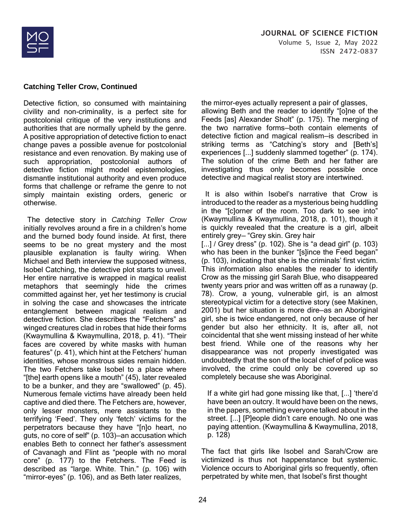

Detective fiction, so consumed with maintaining civility and non-criminality, is a perfect site for postcolonial critique of the very institutions and authorities that are normally upheld by the genre. A positive appropriation of detective fiction to enact change paves a possible avenue for postcolonial resistance and even renovation. By making use of such appropriation, postcolonial authors of detective fiction might model epistemologies, dismantle institutional authority and even produce forms that challenge or reframe the genre to not simply maintain existing orders, generic or otherwise.

 The detective story in *Catching Teller Crow* initially revolves around a fire in a children's home and the burned body found inside. At first, there seems to be no great mystery and the most plausible explanation is faulty wiring. When Michael and Beth interview the supposed witness, Isobel Catching, the detective plot starts to unveil. Her entire narrative is wrapped in magical realist metaphors that seemingly hide the crimes committed against her, yet her testimony is crucial in solving the case and showcases the intricate entanglement between magical realism and detective fiction. She describes the "Fetchers" as winged creatures clad in robes that hide their forms (Kwaymullina & Kwaymullina, 2018, p. 41). "Their faces are covered by white masks with human features" (p. 41), which hint at the Fetchers' human identities, whose monstrous sides remain hidden. The two Fetchers take Isobel to a place where "[the] earth opens like a mouth" (45), later revealed to be a bunker, and they are "swallowed" (p. 45). Numerous female victims have already been held captive and died there. The Fetchers are, however, only lesser monsters, mere assistants to the terrifying 'Feed'. They only 'fetch' victims for the perpetrators because they have "[n]o heart, no guts, no core of self" (p. 103)—an accusation which enables Beth to connect her father's assessment of Cavanagh and Flint as "people with no moral core" (p. 177) to the Fetchers. The Feed is described as "large. White. Thin." (p. 106) with "mirror-eyes" (p. 106), and as Beth later realizes,

the mirror-eyes actually represent a pair of glasses, allowing Beth and the reader to identify "[o]ne of the Feeds [as] Alexander Sholt" (p. 175). The merging of the two narrative forms—both contain elements of detective fiction and magical realism—is described in striking terms as "Catching's story and [Beth's] experiences [...] suddenly slammed together" (p. 174). The solution of the crime Beth and her father are investigating thus only becomes possible once detective and magical realist story are intertwined.

 It is also within Isobel's narrative that Crow is introduced to the reader as a mysterious being huddling in the "[c]orner of the room. Too dark to see into" (Kwaymullina & Kwaymullina, 2018, p. 101), though it is quickly revealed that the creature is a girl, albeit entirely grey— "Grey skin. Grey hair [...] / Grey dress" (p. 102). She is "a dead girl" (p. 103) who has been in the bunker "[s]ince the Feed began" (p. 103), indicating that she is the criminals' first victim. This information also enables the reader to identify Crow as the missing girl Sarah Blue, who disappeared twenty years prior and was written off as a runaway (p. 78). Crow, a young, vulnerable girl, is an almost stereotypical victim for a detective story (see Makinen, 2001) but her situation is more dire—as an Aboriginal girl, she is twice endangered, not only because of her gender but also her ethnicity. It is, after all, not coincidental that she went missing instead of her white best friend. While one of the reasons why her disappearance was not properly investigated was undoubtedly that the son of the local chief of police was involved, the crime could only be covered up so completely because she was Aboriginal.

If a white girl had gone missing like that, [...] 'there'd have been an outcry. It would have been on the news, in the papers, something everyone talked about in the street. [...] [P]eople didn't care enough. No one was paying attention. (Kwaymullina & Kwaymullina, 2018, p. 128)

The fact that girls like Isobel and Sarah/Crow are victimized is thus not happenstance but systemic. Violence occurs to Aboriginal girls so frequently, often perpetrated by white men, that Isobel's first thought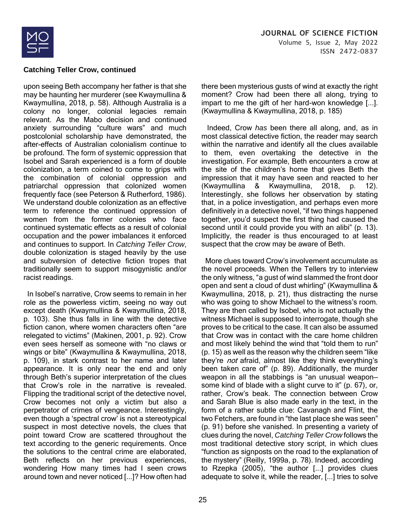

upon seeing Beth accompany her father is that she may be haunting her murderer (see Kwaymullina & Kwaymullina, 2018, p. 58). Although Australia is a colony no longer, colonial legacies remain relevant. As the Mabo decision and continued anxiety surrounding "culture wars" and much postcolonial scholarship have demonstrated, the after-effects of Australian colonialism continue to be profound. The form of systemic oppression that Isobel and Sarah experienced is a form of double colonization, a term coined to come to grips with the combination of colonial oppression and patriarchal oppression that colonized women frequently face (see Peterson & Rutherford, 1986). We understand double colonization as an effective term to reference the continued oppression of women from the former colonies who face continued systematic effects as a result of colonial occupation and the power imbalances it enforced and continues to support. In *Catching Teller Crow*, double colonization is staged heavily by the use and subversion of detective fiction tropes that traditionally seem to support misogynistic and/or racist readings.

 In Isobel's narrative, Crow seems to remain in her role as the powerless victim, seeing no way out except death (Kwaymullina & Kwaymullina, 2018, p. 103). She thus falls in line with the detective fiction canon, where women characters often "are relegated to victims" (Makinen, 2001, p. 92). Crow even sees herself as someone with "no claws or wings or bite" (Kwaymullina & Kwaymullina, 2018, p. 109), in stark contrast to her name and later appearance. It is only near the end and only through Beth's superior interpretation of the clues that Crow's role in the narrative is revealed. Flipping the traditional script of the detective novel, Crow becomes not only a victim but also a perpetrator of crimes of vengeance. Interestingly, even though a 'spectral crow' is not a stereotypical suspect in most detective novels, the clues that point toward Crow are scattered throughout the text according to the generic requirements. Once the solutions to the central crime are elaborated, Beth reflects on her previous experiences, wondering How many times had I seen crows around town and never noticed [...]? How often had there been mysterious gusts of wind at exactly the right moment? Crow had been there all along, trying to impart to me the gift of her hard-won knowledge [...]. (Kwaymullina & Kwaymullina, 2018, p. 185)

 Indeed, Crow *has* been there all along, and, as in most classical detective fiction, the reader may search within the narrative and identify all the clues available to them, even overtaking the detective in the investigation. For example, Beth encounters a crow at the site of the children's home that gives Beth the impression that it may have seen and reacted to her (Kwaymullina & Kwaymullina, 2018, p. 12). Interestingly, she follows her observation by stating that, in a police investigation, and perhaps even more definitively in a detective novel, "if two things happened together, you'd suspect the first thing had caused the second until it could provide you with an alibi" (p. 13). Implicitly, the reader is thus encouraged to at least suspect that the crow may be aware of Beth.

 More clues toward Crow's involvement accumulate as the novel proceeds. When the Tellers try to interview the only witness, "a gust of wind slammed the front door open and sent a cloud of dust whirling" (Kwaymullina & Kwaymullina, 2018, p. 21), thus distracting the nurse who was going to show Michael to the witness's room. They are then called by Isobel, who is not actually the witness Michael is supposed to interrogate, though she proves to be critical to the case. It can also be assumed that Crow was in contact with the care home children and most likely behind the wind that "told them to run" (p. 15) as well as the reason why the children seem "like they're *not* afraid, almost like they think everything's been taken care of" (p. 89). Additionally, the murder weapon in all the stabbings is "an unusual weapon some kind of blade with a slight curve to it" (p. 67), or, rather, Crow's beak. The connection between Crow and Sarah Blue is also made early in the text, in the form of a rather subtle clue: Cavanagh and Flint, the two Fetchers, are found in "the last place she was seen" (p. 91) before she vanished. In presenting a variety of clues during the novel, *Catching Teller Crow* follows the most traditional detective story script, in which clues "function as signposts on the road to the explanation of the mystery" (Reilly, 1999a, p. 78). Indeed, according to Rzepka (2005), "the author [...] provides clues adequate to solve it, while the reader, [...] tries to solve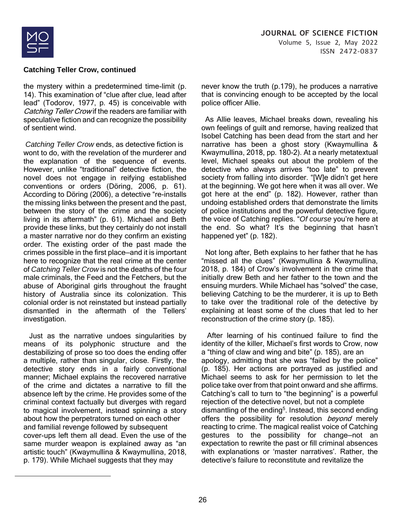

the mystery within a predetermined time-limit (p. 14). This examination of "clue after clue, lead after lead" (Todorov, 1977, p. 45) is conceivable with Catching Teller Crow if the readers are familiar with speculative fiction and can recognize the possibility of sentient wind.

*Catching Teller Crow* ends, as detective fiction is wont to do, with the revelation of the murderer and the explanation of the sequence of events. However, unlike "traditional" detective fiction, the novel does not engage in reifying established conventions or orders (Döring, 2006, p. 61). According to Döring (2006), a detective "re-installs the missing links between the present and the past, between the story of the crime and the society living in its aftermath" (p. 61). Michael and Beth provide these links, but they certainly do not install a master narrative nor do they confirm an existing order. The existing order of the past made the crimes possible in the first place—and it is important here to recognize that the real crime at the center of *Catching Teller Crow* is not the deaths of the four male criminals, the Feed and the Fetchers, but the abuse of Aboriginal girls throughout the fraught history of Australia since its colonization. This colonial order is not reinstated but instead partially dismantled in the aftermath of the Tellers' investigation.

 Just as the narrative undoes singularities by means of its polyphonic structure and the destabilizing of prose so too does the ending offer a multiple, rather than singular, close. Firstly, the detective story ends in a fairly conventional manner; Michael explains the recovered narrative of the crime and dictates a narrative to fill the absence left by the crime. He provides some of the criminal context factually but diverges with regard to magical involvement, instead spinning a story about how the perpetrators turned on each other and familial revenge followed by subsequent cover-ups left them all dead. Even the use of the same murder weapon is explained away as "an artistic touch" (Kwaymullina & Kwaymullina, 2018, p. 179). While Michael suggests that they may

never know the truth (p.179), he produces a narrative that is convincing enough to be accepted by the local police officer Allie.

 As Allie leaves, Michael breaks down, revealing his own feelings of guilt and remorse, having realized that Isobel Catching has been dead from the start and her narrative has been a ghost story (Kwaymullina & Kwaymullina, 2018, pp. 180-2). At a nearly metatextual level, Michael speaks out about the problem of the detective who always arrives "too late" to prevent society from falling into disorder. "[W]e didn't get here at the beginning. We got here when it was all over. We got here at the end" (p. 182). However, rather than undoing established orders that demonstrate the limits of police institutions and the powerful detective figure, the voice of Catching replies. "*Of course* you're here at the end. So what? It's the beginning that hasn't happened yet" (p. 182).

 Not long after, Beth explains to her father that he has "missed all the clues" (Kwaymullina & Kwaymullina, 2018, p. 184) of Crow's involvement in the crime that initially drew Beth and her father to the town and the ensuing murders. While Michael has "solved" the case, believing Catching to be the murderer, it is up to Beth to take over the traditional role of the detective by explaining at least some of the clues that led to her reconstruction of the crime story (p. 185).

 After learning of his continued failure to find the identity of the killer, Michael's first words to Crow, now a "thing of claw and wing and bite" (p. 185), are an apology, admitting that she was "failed by the police" (p. 185). Her actions are portrayed as justified and Michael seems to ask for her permission to let the police take over from that point onward and she affirms. Catching's call to turn to "the beginning" is a powerful rejection of the detective novel, but not a complete dismantling of the ending<sup>5</sup>. Instead, this second ending offers the possibility for resolution *beyond* merely reacting to crime. The magical realist voice of Catching gestures to the possibility for change—not an expectation to rewrite the past or fill criminal absences with explanations or 'master narratives'. Rather, the detective's failure to reconstitute and revitalize the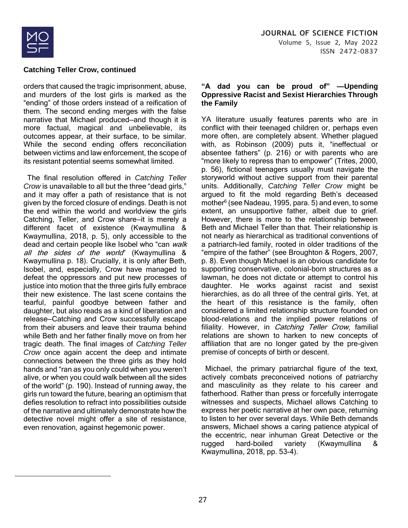

orders that caused the tragic imprisonment, abuse, and murders of the lost girls is marked as the "ending" of those orders instead of a reification of them. The second ending merges with the false narrative that Michael produced—and though it is more factual, magical and unbelievable, its outcomes appear, at their surface, to be similar. While the second ending offers reconciliation between victims and law enforcement, the scope of its resistant potential seems somewhat limited.

 The final resolution offered in *Catching Teller Crow* is unavailable to all but the three "dead girls," and it may offer a path of resistance that is not given by the forced closure of endings. Death is not the end within the world and worldview the girls Catching, Teller, and Crow share—it is merely a different facet of existence (Kwaymullina & Kwaymullina, 2018, p. 5), only accessible to the dead and certain people like Isobel who "can walk" all the sides of the world" (Kwaymullina & Kwaymullina p. 18). Crucially, it is only after Beth, Isobel, and, especially, Crow have managed to defeat the oppressors and put new processes of justice into motion that the three girls fully embrace their new existence. The last scene contains the tearful, painful goodbye between father and daughter, but also reads as a kind of liberation and release—Catching and Crow successfully escape from their abusers and leave their trauma behind while Beth and her father finally move on from her tragic death. The final images of *Catching Teller Crow* once again accent the deep and intimate connections between the three girls as they hold hands and "ran as you only could when you weren't alive, or when you could walk between all the sides of the world" (p. 190). Instead of running away, the girls run toward the future, bearing an optimism that defies resolution to refract into possibilities outside of the narrative and ultimately demonstrate how the detective novel might offer a site of resistance, even renovation, against hegemonic power.

#### **"A dad you can be proud of" —Upending Oppressive Racist and Sexist Hierarchies Through the Family**

YA literature usually features parents who are in conflict with their teenaged children or, perhaps even more often, are completely absent. Whether plagued with, as Robinson (2009) puts it, "ineffectual or absentee fathers" (p. 216) or with parents who are "more likely to repress than to empower" (Trites, 2000, p. 56), fictional teenagers usually must navigate the storyworld without active support from their parental units. Additionally, *Catching Teller Crow* might be argued to fit the mold regarding Beth's deceased mother<sup>6</sup> (see Nadeau, 1995, para. 5) and even, to some extent, an unsupportive father, albeit due to grief. However, there is more to the relationship between Beth and Michael Teller than that. Their relationship is not nearly as hierarchical as traditional conventions of a patriarch-led family, rooted in older traditions of the "empire of the father" (see Broughton & Rogers, 2007, p. 8). Even though Michael is an obvious candidate for supporting conservative, colonial-born structures as a lawman, he does not dictate or attempt to control his daughter. He works against racist and sexist hierarchies, as do all three of the central girls. Yet, at the heart of this resistance is the family, often considered a limited relationship structure founded on blood-relations and the implied power relations of filiality. However, in Catching Teller Crow, familial relations are shown to harken to new concepts of affiliation that are no longer gated by the pre-given premise of concepts of birth or descent.

 Michael, the primary patriarchal figure of the text, actively combats preconceived notions of patriarchy and masculinity as they relate to his career and fatherhood. Rather than press or forcefully interrogate witnesses and suspects, Michael allows Catching to express her poetic narrative at her own pace, returning to listen to her over several days. While Beth demands answers, Michael shows a caring patience atypical of the eccentric, near inhuman Great Detective or the rugged hard-boiled variety (Kwaymullina & Kwaymullina, 2018, pp. 53-4).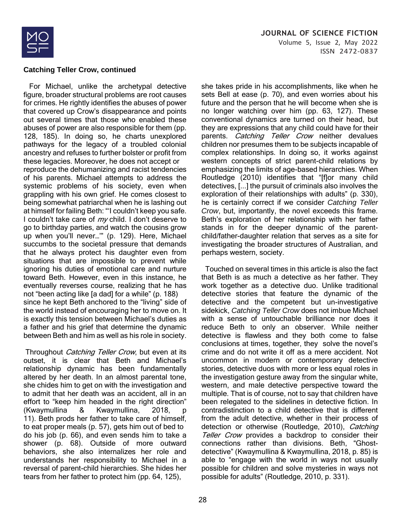

 For Michael, unlike the archetypal detective figure, broader structural problems are root causes for crimes. He rightly identifies the abuses of power that covered up Crow's disappearance and points out several times that those who enabled these abuses of power are also responsible for them (pp. 128, 185). In doing so, he charts unexplored pathways for the legacy of a troubled colonial ancestry and refuses to further bolster or profit from these legacies. Moreover, he does not accept or reproduce the dehumanizing and racist tendencies of his parents. Michael attempts to address the systemic problems of his society, even when grappling with his own grief. He comes closest to being somewhat patriarchal when he is lashing out at himself for failing Beth: "'I couldn't keep you safe. I couldn't take care of  $my$  child. I don't deserve to go to birthday parties, and watch the cousins grow up when you'll never…'" (p. 129). Here, Michael succumbs to the societal pressure that demands that he always protect his daughter even from situations that are impossible to prevent while ignoring his duties of emotional care and nurture toward Beth. However, even in this instance, he eventually reverses course, realizing that he has not "been acting like [a dad] for a while" (p. 188) since he kept Beth anchored to the "living" side of the world instead of encouraging her to move on. It is exactly this tension between Michael's duties as a father and his grief that determine the dynamic between Beth and him as well as his role in society.

Throughout Catching Teller Crow, but even at its outset, it is clear that Beth and Michael's relationship dynamic has been fundamentally altered by her death. In an almost parental tone, she chides him to get on with the investigation and to admit that her death was an accident, all in an effort to "keep him headed in the right direction" (Kwaymullina & Kwaymullina, 2018, p 11). Beth prods her father to take care of himself, to eat proper meals (p. 57), gets him out of bed to do his job (p. 66), and even sends him to take a shower (p. 68). Outside of more outward behaviors, she also internalizes her role and understands her responsibility to Michael in a reversal of parent-child hierarchies. She hides her tears from her father to protect him (pp. 64, 125),

she takes pride in his accomplishments, like when he sets Bell at ease (p. 70), and even worries about his future and the person that he will become when she is no longer watching over him (pp. 63, 127). These conventional dynamics are turned on their head, but they are expressions that any child could have for their parents. Catching Teller Crow neither devalues children nor presumes them to be subjects incapable of complex relationships. In doing so, it works against western concepts of strict parent-child relations by emphasizing the limits of age-based hierarchies. When Routledge (2010) identifies that "[f]or many child detectives, [...] the pursuit of criminals also involves the exploration of their relationships with adults" (p. 330), he is certainly correct if we consider *Catching Teller Crow*, but, importantly, the novel exceeds this frame. Beth's exploration of her relationship with her father stands in for the deeper dynamic of the parentchild/father-daughter relation that serves as a site for investigating the broader structures of Australian, and perhaps western, society.

 Touched on several times in this article is also the fact that Beth is as much a detective as her father. They work together as a detective duo. Unlike traditional detective stories that feature the dynamic of the detective and the competent but un-investigative sidekick, *Catching Teller Crow* does not imbue Michael with a sense of untouchable brilliance nor does it reduce Beth to only an observer. While neither detective is flawless and they both come to false conclusions at times, together, they solve the novel's crime and do not write it off as a mere accident. Not uncommon in modern or contemporary detective stories, detective duos with more or less equal roles in the investigation gesture away from the singular white, western, and male detective perspective toward the multiple. That is of course, not to say that children have been relegated to the sidelines in detective fiction. In contradistinction to a child detective that is different from the adult detective, whether in their process of detection or otherwise (Routledge, 2010), Catching Teller Crow provides a backdrop to consider their connections rather than divisions. Beth, "Ghostdetective" (Kwaymullina & Kwaymullina, 2018, p. 85) is able to "engage with the world in ways not usually possible for children and solve mysteries in ways not possible for adults" (Routledge, 2010, p. 331).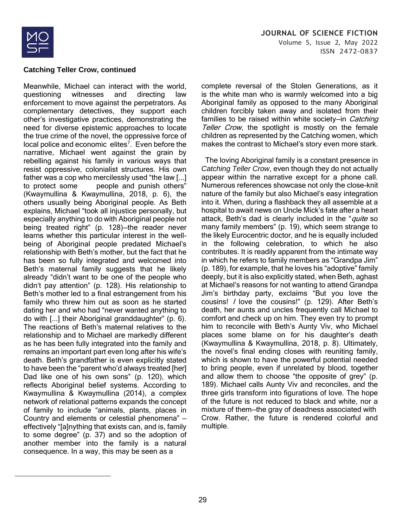

Meanwhile, Michael can interact with the world, questioning witnesses and directing law enforcement to move against the perpetrators. As complementary detectives, they support each other's investigative practices, demonstrating the need for diverse epistemic approaches to locate the true crime of the novel, the oppressive force of local police and economic elites<sup>7</sup>. Even before the narrative, Michael went against the grain by rebelling against his family in various ways that resist oppressive, colonialist structures. His own father was a cop who mercilessly used "the law [...] to protect some people and punish others" (Kwaymullina & Kwaymullina, 2018, p. 6), the others usually being Aboriginal people. As Beth explains, Michael "took all injustice personally, but especially anything to do with Aboriginal people not being treated right" (p. 128)—the reader never learns whether this particular interest in the wellbeing of Aboriginal people predated Michael's relationship with Beth's mother, but the fact that he has been so fully integrated and welcomed into Beth's maternal family suggests that he likely already "didn't want to be one of the people who didn't pay attention" (p. 128). His relationship to Beth's mother led to a final estrangement from his family who threw him out as soon as he started dating her and who had "never wanted anything to do with [...] their Aboriginal granddaughter" (p. 6). The reactions of Beth's maternal relatives to the relationship and to Michael are markedly different as he has been fully integrated into the family and remains an important part even long after his wife's death. Beth's grandfather is even explicitly stated to have been the "parent who'd always treated [her] Dad like one of his own sons" (p. 120), which reflects Aboriginal belief systems. According to Kwaymullina & Kwaymullina (2014), a complex network of relational patterns expands the concept of family to include "animals, plants, places in Country and elements or celestial phenomena" effectively "[a]nything that exists can, and is, family to some degree" (p. 37) and so the adoption of another member into the family is a natural consequence. In a way, this may be seen as a

complete reversal of the Stolen Generations, as it is the white man who is warmly welcomed into a big Aboriginal family as opposed to the many Aboriginal children forcibly taken away and isolated from their families to be raised within white society-in *Catching* Teller Crow, the spotlight is mostly on the female children as represented by the Catching women, which makes the contrast to Michael's story even more stark.

 The loving Aboriginal family is a constant presence in *Catching Teller Crow*, even though they do not actually appear within the narrative except for a phone call. Numerous references showcase not only the close-knit nature of the family but also Michael's easy integration into it. When, during a flashback they all assemble at a hospital to await news on Uncle Mick's fate after a heart attack, Beth's dad is clearly included in the "*quite* so many family members" (p. 19), which seem strange to the likely Eurocentric doctor, and he is equally included in the following celebration, to which he also contributes. It is readily apparent from the intimate way in which he refers to family members as "Grandpa Jim" (p. 189), for example, that he loves his "adoptive" family deeply, but it is also explicitly stated, when Beth, aghast at Michael's reasons for not wanting to attend Grandpa Jim's birthday party, exclaims "But you love the cousins! I love the cousins!" (p. 129). After Beth's death, her aunts and uncles frequently call Michael to comfort and check up on him. They even try to prompt him to reconcile with Beth's Aunty Viv, who Michael places some blame on for his daughter's death (Kwaymullina & Kwaymullina, 2018, p. 8). Ultimately, the novel's final ending closes with reuniting family, which is shown to have the powerful potential needed to bring people, even if unrelated by blood, together and allow them to choose "the opposite of grey" (p. 189). Michael calls Aunty Viv and reconciles, and the three girls transform into figurations of love. The hope of the future is not reduced to black and white, nor a mixture of them—the gray of deadness associated with Crow. Rather, the future is rendered colorful and multiple.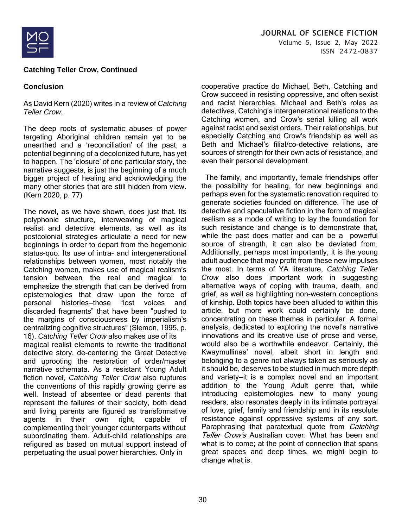

# **Conclusion**

As David Kern (2020) writes in a review of *Catching Teller Crow*,

The deep roots of systematic abuses of power targeting Aboriginal children remain yet to be unearthed and a 'reconciliation' of the past, a potential beginning of a decolonized future, has yet to happen. The 'closure' of one particular story, the narrative suggests, is just the beginning of a much bigger project of healing and acknowledging the many other stories that are still hidden from view. (Kern 2020, p. 77)

The novel, as we have shown, does just that. Its polyphonic structure, interweaving of magical realist and detective elements, as well as its postcolonial strategies articulate a need for new beginnings in order to depart from the hegemonic status-quo. Its use of intra- and intergenerational relationships between women, most notably the Catching women, makes use of magical realism's tension between the real and magical to emphasize the strength that can be derived from epistemologies that draw upon the force of personal histories—those "lost voices and discarded fragments" that have been "pushed to the margins of consciousness by imperialism's centralizing cognitive structures" (Slemon, 1995, p. 16). *Catching Teller Crow* also makes use of its

magical realist elements to rewrite the traditional detective story, de-centering the Great Detective and uprooting the restoration of order/master narrative schemata. As a resistant Young Adult fiction novel, *Catching Teller Crow* also ruptures the conventions of this rapidly growing genre as well. Instead of absentee or dead parents that represent the failures of their society, both dead and living parents are figured as transformative agents in their own right, capable of complementing their younger counterparts without subordinating them. Adult-child relationships are refigured as based on mutual support instead of perpetuating the usual power hierarchies. Only in

cooperative practice do Michael, Beth, Catching and Crow succeed in resisting oppressive, and often sexist and racist hierarchies. Michael and Beth's roles as detectives, Catching's intergenerational relations to the Catching women, and Crow's serial killing all work against racist and sexist orders. Their relationships, but especially Catching and Crow's friendship as well as Beth and Michael's filial/co-detective relations, are sources of strength for their own acts of resistance, and even their personal development.

 The family, and importantly, female friendships offer the possibility for healing, for new beginnings and perhaps even for the systematic renovation required to generate societies founded on difference. The use of detective and speculative fiction in the form of magical realism as a mode of writing to lay the foundation for such resistance and change is to demonstrate that, while the past does matter and can be a powerful source of strength, it can also be deviated from. Additionally, perhaps most importantly, it is the young adult audience that may profit from these new impulses the most. In terms of YA literature, *Catching Teller Crow* also does important work in suggesting alternative ways of coping with trauma, death, and grief, as well as highlighting non-western conceptions of kinship. Both topics have been alluded to within this article, but more work could certainly be done, concentrating on these themes in particular. A formal analysis, dedicated to exploring the novel's narrative innovations and its creative use of prose and verse, would also be a worthwhile endeavor. Certainly, the Kwaymullinas' novel, albeit short in length and belonging to a genre not always taken as seriously as it should be, deserves to be studied in much more depth and variety—it is a complex novel and an important addition to the Young Adult genre that, while introducing epistemologies new to many young readers, also resonates deeply in its intimate portrayal of love, grief, family and friendship and in its resolute resistance against oppressive systems of any sort. Paraphrasing that paratextual quote from *Catching* Teller Crow's Australian cover: What has been and what is to come; at the point of connection that spans great spaces and deep times, we might begin to change what is.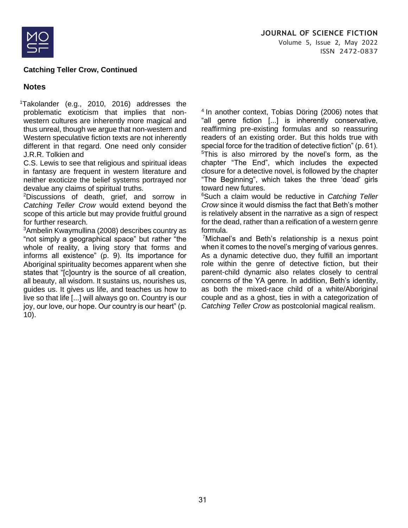

# **Notes**

<sup>1</sup>Takolander (e.g., 2010, 2016) addresses the problematic exoticism that implies that nonwestern cultures are inherently more magical and thus unreal, though we argue that non-western and Western speculative fiction texts are not inherently different in that regard. One need only consider J.R.R. Tolkien and

C.S. Lewis to see that religious and spiritual ideas in fantasy are frequent in western literature and neither exoticize the belief systems portrayed nor devalue any claims of spiritual truths.

<sup>2</sup>Discussions of death, grief, and sorrow in *Catching Teller Crow* would extend beyond the scope of this article but may provide fruitful ground for further research.

<sup>3</sup>Ambelin Kwaymullina (2008) describes country as "not simply a geographical space" but rather "the whole of reality, a living story that forms and informs all existence" (p. 9). Its importance for Aboriginal spirituality becomes apparent when she states that "[c]ountry is the source of all creation, all beauty, all wisdom. It sustains us, nourishes us, guides us. It gives us life, and teaches us how to live so that life [...] will always go on. Country is our joy, our love, our hope. Our country is our heart" (p. 10).

 $4$  In another context, Tobias Döring (2006) notes that "all genre fiction [...] is inherently conservative, reaffirming pre-existing formulas and so reassuring readers of an existing order. But this holds true with special force for the tradition of detective fiction" (p. 61). <sup>5</sup>This is also mirrored by the novel's form, as the chapter "The End", which includes the expected closure for a detective novel, is followed by the chapter "The Beginning", which takes the three 'dead' girls toward new futures.

<sup>6</sup>Such a claim would be reductive in *Catching Teller Crow* since it would dismiss the fact that Beth's mother is relatively absent in the narrative as a sign of respect for the dead, rather than a reification of a western genre formula.

<sup>7</sup>Michael's and Beth's relationship is a nexus point when it comes to the novel's merging of various genres. As a dynamic detective duo, they fulfill an important role within the genre of detective fiction, but their parent-child dynamic also relates closely to central concerns of the YA genre. In addition, Beth's identity, as both the mixed-race child of a white/Aboriginal couple and as a ghost, ties in with a categorization of *Catching Teller Crow* as postcolonial magical realism.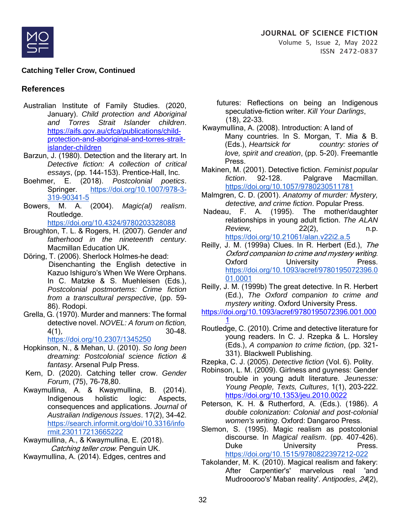

# **References**

- Australian Institute of Family Studies. (2020, January). *Child protection and Aboriginal and Torres Strait Islander children*. [https://aifs.gov.au/cfca/publications/child](https://aifs.gov.au/cfca/publications/child-protection-and-aboriginal-and-torres-strait-islander-children)[protection-and-aboriginal-and-torres-strait](https://aifs.gov.au/cfca/publications/child-protection-and-aboriginal-and-torres-strait-islander-children)[islander-children](https://aifs.gov.au/cfca/publications/child-protection-and-aboriginal-and-torres-strait-islander-children)
- Barzun, J. (1980). Detection and the literary art. In *Detective fiction: A collection of critical essays*, (pp. 144-153). Prentice-Hall, Inc.
- Boehmer, E. (2018). *Postcolonial poetics*. Springer. [https://doi.org/10.1007/978-3-](https://doi.org/10.1007/978-3-319-90341-5) [319-90341-5](https://doi.org/10.1007/978-3-319-90341-5)
- Bowers, M. A. (2004). *Magic(al) realism*. Routledge.

<https://doi.org/10.4324/9780203328088>

- Broughton, T. L. & Rogers, H. (2007). *Gender and fatherhood in the nineteenth century*. Macmillan Education UK.
- Döring, T. (2006). Sherlock Holmes–he dead: Disenchanting the English detective in Kazuo Ishiguro's When We Were Orphans. In C. Matzke & S. Muehleisen (Eds.), *Postcolonial postmortems: Crime fiction from a transcultural perspective*, (pp. 59- 86). Rodopi.
- Grella, G. (1970). Murder and manners: The formal detective novel. *NOVEL: A forum on fiction,* 4(1), 30-48. <https://doi.org/10.2307/1345250>
- Hopkinson, N., & Mehan, U. (2010). *So long been dreaming: Postcolonial science fiction & fantasy*. Arsenal Pulp Press.
- Kern, D. (2020). Catching teller crow. *Gender Forum*, (75), 76-78,80.
- Kwaymullina, A. & Kwaymullina, B. (2014). Indigenous holistic logic: Aspects, consequences and applications. *Journal of Australian Indigenous Issues*. 17(2), 34-42. [https://search.informit.org/doi/10.3316/info](https://search.informit.org/doi/10.3316/informit.230117213665222) [rmit.230117213665222](https://search.informit.org/doi/10.3316/informit.230117213665222)
- Kwaymullina, A., & Kwaymullina, E. (2018). Catching teller crow. Penguin UK.
- Kwaymullina, A. (2014). Edges, centres and
- futures: Reflections on being an Indigenous speculative-fiction writer. *Kill Your Darlings*, (18), 22-33.
- Kwaymullina, A. (2008). Introduction: A land of Many countries. In S. Morgan, T. Mia & B. (Eds.), *Heartsick for country: stories of love, spirit and creation*, (pp. 5-20). Freemantle Press.
- Makinen, M. (2001). Detective fiction. *Feminist popular fiction*. 92-128. Palgrave Macmillan. <https://doi.org/10.1057/9780230511781>
- Malmgren, C. D. (2001). *Anatomy of murder: Mystery, detective, and crime fiction*. Popular Press.
- Nadeau, F. A. (1995). The mother/daughter relationships in young adult fiction. *The ALAN Review*, 22(2), n.p. <https://doi.org/10.21061/alan.v22i2.a.5>
- Reilly, J. M. (1999a) Clues. In R. Herbert (Ed.), The Oxford companion to crime and mystery writing. Oxford University Press. [https://doi.org/10.1093/acref/9780195072396.0](https://doi.org/10.1093/acref/9780195072396.001.0001) [01.0001](https://doi.org/10.1093/acref/9780195072396.001.0001)
- Reilly, J. M. (1999b) The great detective. In R. Herbert (Ed.), *The Oxford companion to crime and mystery writing*. Oxford University Press.
- [https://doi.org/10.1093/acref/9780195072396.001.000](https://doi.org/10.1093/acref/9780195072396.001.0001) [1](https://doi.org/10.1093/acref/9780195072396.001.0001)
- Routledge, C. (2010). Crime and detective literature for young readers. In C. J. Rzepka & L. Horsley (Eds.), *A companion to crime fiction*, (pp. 321- 331). Blackwell Publishing.
- Rzepka, C. J. (2005). *Detective fiction* (Vol. 6). Polity.
- Robinson, L. M. (2009). Girlness and guyness: Gender trouble in young adult literature. *Jeunesse: Young People, Texts, Cultures*, 1(1), 203-222. <https://doi.org/10.1353/jeu.2010.0022>
- Peterson, K. H. & Rutherford, A. (Eds.). (1986). *A double colonization: Colonial and post-colonial women's writing*. Oxford: Dangaroo Press.
- Slemon, S. (1995). Magic realism as postcolonial discourse. In *Magical realism*. (pp. 407-426). Duke University Press. <https://doi.org/10.1515/9780822397212-022>
- Takolander, M. K. (2010). Magical realism and fakery: After Carpentier's' marvelous real 'and Mudroooroo's' Maban reality'. *Antipodes*, 24(2),